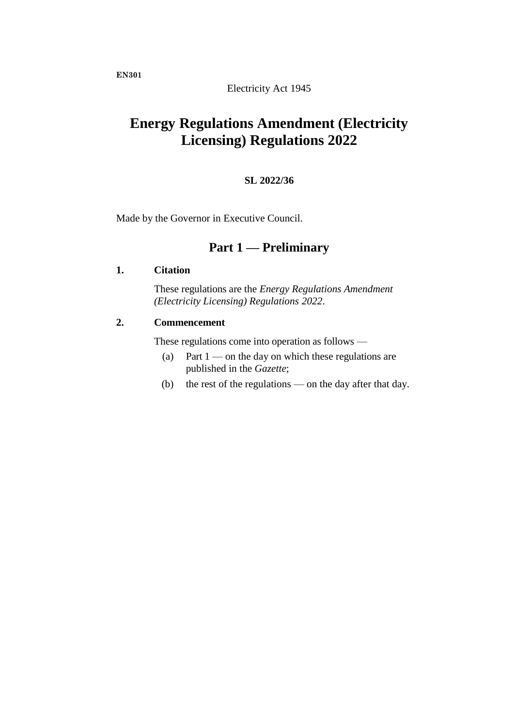Electricity Act 1945

# **Energy Regulations Amendment (Electricity Licensing) Regulations 2022**

## **SL 2022/36**

Made by the Governor in Executive Council.

# **Part 1 — Preliminary**

#### **1. Citation**

These regulations are the *Energy Regulations Amendment (Electricity Licensing) Regulations 2022*.

## **2. Commencement**

These regulations come into operation as follows —

- (a) Part  $1$  on the day on which these regulations are published in the *Gazette*;
- (b) the rest of the regulations on the day after that day.

**EN301**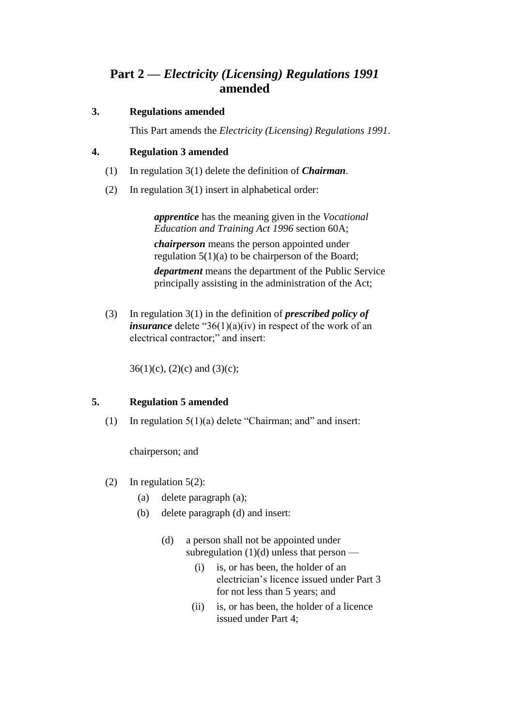# **Part 2 —** *Electricity (Licensing) Regulations 1991* **amended**

# **3. Regulations amended**

This Part amends the *Electricity (Licensing) Regulations 1991*.

# **4. Regulation 3 amended**

- (1) In regulation 3(1) delete the definition of *Chairman*.
- (2) In regulation 3(1) insert in alphabetical order:

*apprentice* has the meaning given in the *Vocational Education and Training Act 1996* section 60A; *chairperson* means the person appointed under regulation 5(1)(a) to be chairperson of the Board; *department* means the department of the Public Service principally assisting in the administration of the Act;

(3) In regulation 3(1) in the definition of *prescribed policy of insurance* delete "36(1)(a)(iv) in respect of the work of an electrical contractor;" and insert:

 $36(1)(c)$ ,  $(2)(c)$  and  $(3)(c)$ ;

# **5. Regulation 5 amended**

(1) In regulation 5(1)(a) delete "Chairman; and" and insert:

chairperson; and

- (2) In regulation 5(2):
	- (a) delete paragraph (a);
	- (b) delete paragraph (d) and insert:
		- (d) a person shall not be appointed under subregulation  $(1)(d)$  unless that person —
			- (i) is, or has been, the holder of an electrician's licence issued under Part 3 for not less than 5 years; and
			- (ii) is, or has been, the holder of a licence issued under Part 4;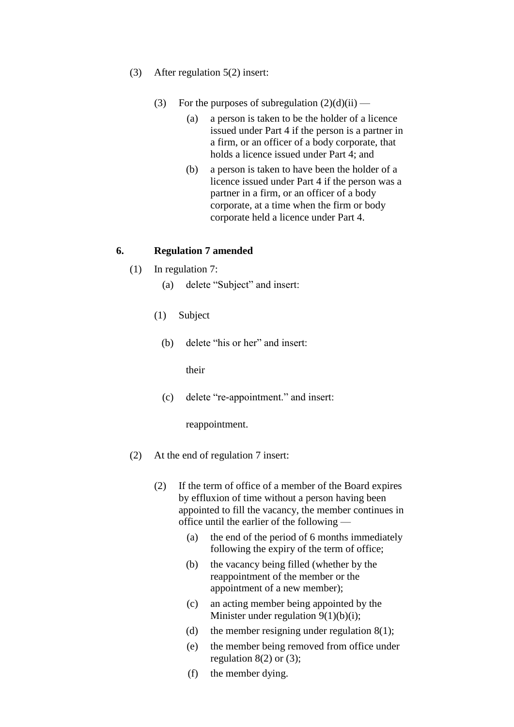- (3) After regulation 5(2) insert:
	- (3) For the purposes of subregulation  $(2)(d)(ii)$ 
		- (a) a person is taken to be the holder of a licence issued under Part 4 if the person is a partner in a firm, or an officer of a body corporate, that holds a licence issued under Part 4; and
		- (b) a person is taken to have been the holder of a licence issued under Part 4 if the person was a partner in a firm, or an officer of a body corporate, at a time when the firm or body corporate held a licence under Part 4.

#### **6. Regulation 7 amended**

- (1) In regulation 7:
	- (a) delete "Subject" and insert:
	- (1) Subject
		- (b) delete "his or her" and insert:

their

(c) delete "re-appointment." and insert:

reappointment.

- (2) At the end of regulation 7 insert:
	- (2) If the term of office of a member of the Board expires by effluxion of time without a person having been appointed to fill the vacancy, the member continues in office until the earlier of the following —
		- (a) the end of the period of 6 months immediately following the expiry of the term of office;
		- (b) the vacancy being filled (whether by the reappointment of the member or the appointment of a new member);
		- (c) an acting member being appointed by the Minister under regulation  $9(1)(b)(i)$ ;
		- (d) the member resigning under regulation  $8(1)$ ;
		- (e) the member being removed from office under regulation  $8(2)$  or  $(3)$ ;
		- (f) the member dying.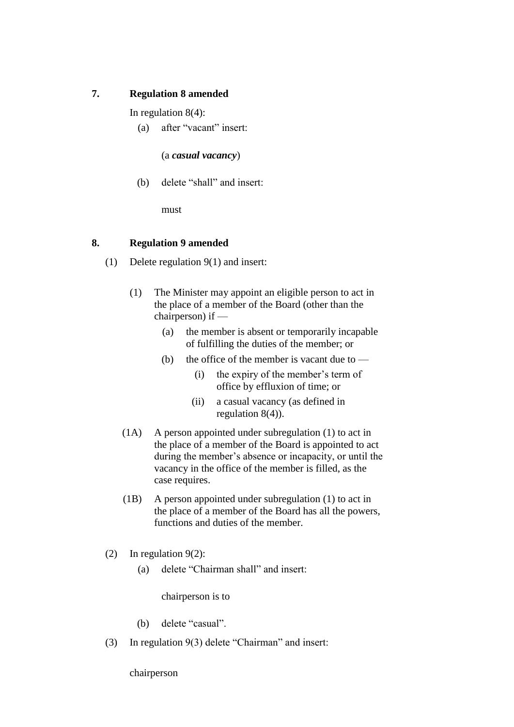# **7. Regulation 8 amended**

In regulation 8(4):

(a) after "vacant" insert:

(a *casual vacancy*)

(b) delete "shall" and insert:

must

## **8. Regulation 9 amended**

- (1) Delete regulation 9(1) and insert:
	- (1) The Minister may appoint an eligible person to act in the place of a member of the Board (other than the chairperson) if —
		- (a) the member is absent or temporarily incapable of fulfilling the duties of the member; or
		- (b) the office of the member is vacant due to  $-$ 
			- (i) the expiry of the member's term of office by effluxion of time; or
			- (ii) a casual vacancy (as defined in regulation 8(4)).
	- (1A) A person appointed under subregulation (1) to act in the place of a member of the Board is appointed to act during the member's absence or incapacity, or until the vacancy in the office of the member is filled, as the case requires.
	- (1B) A person appointed under subregulation (1) to act in the place of a member of the Board has all the powers, functions and duties of the member.
- (2) In regulation 9(2):
	- (a) delete "Chairman shall" and insert:

chairperson is to

- (b) delete "casual".
- (3) In regulation 9(3) delete "Chairman" and insert:

chairperson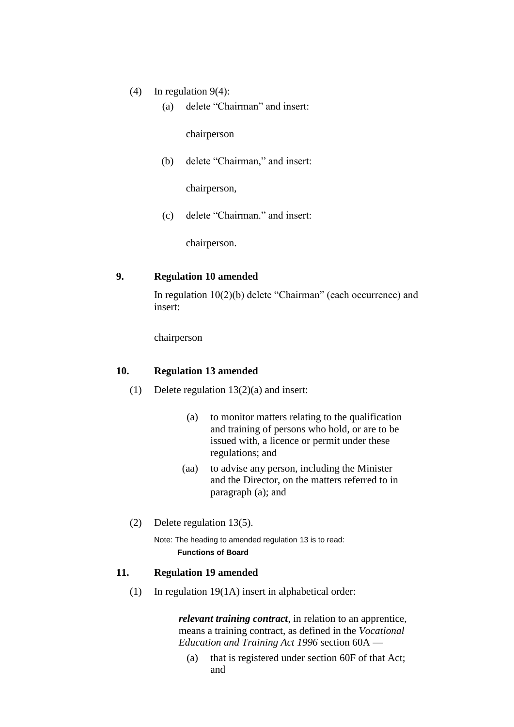- (4) In regulation 9(4):
	- (a) delete "Chairman" and insert:

chairperson

(b) delete "Chairman," and insert:

chairperson,

(c) delete "Chairman." and insert:

chairperson.

#### **9. Regulation 10 amended**

In regulation 10(2)(b) delete "Chairman" (each occurrence) and insert:

chairperson

#### **10. Regulation 13 amended**

- (1) Delete regulation  $13(2)(a)$  and insert:
	- (a) to monitor matters relating to the qualification and training of persons who hold, or are to be issued with, a licence or permit under these regulations; and
	- (aa) to advise any person, including the Minister and the Director, on the matters referred to in paragraph (a); and
- (2) Delete regulation 13(5).

Note: The heading to amended regulation 13 is to read: **Functions of Board**

## **11. Regulation 19 amended**

(1) In regulation 19(1A) insert in alphabetical order:

*relevant training contract*, in relation to an apprentice, means a training contract, as defined in the *Vocational Education and Training Act 1996* section 60A —

(a) that is registered under section 60F of that Act; and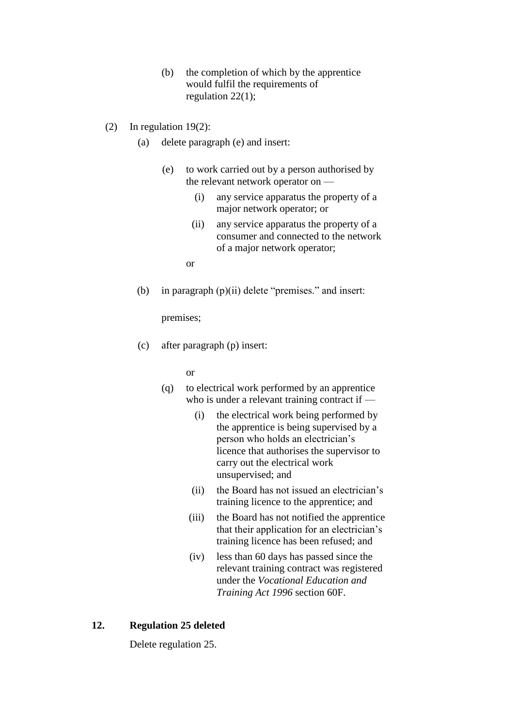- (b) the completion of which by the apprentice would fulfil the requirements of regulation 22(1);
- (2) In regulation 19(2):
	- (a) delete paragraph (e) and insert:
		- (e) to work carried out by a person authorised by the relevant network operator on —
			- (i) any service apparatus the property of a major network operator; or
			- (ii) any service apparatus the property of a consumer and connected to the network of a major network operator;

or

(b) in paragraph  $(p)(ii)$  delete "premises." and insert:

premises;

(c) after paragraph (p) insert:

or

- (q) to electrical work performed by an apprentice who is under a relevant training contract if —
	- (i) the electrical work being performed by the apprentice is being supervised by a person who holds an electrician's licence that authorises the supervisor to carry out the electrical work unsupervised; and
	- (ii) the Board has not issued an electrician's training licence to the apprentice; and
	- (iii) the Board has not notified the apprentice that their application for an electrician's training licence has been refused; and
	- (iv) less than 60 days has passed since the relevant training contract was registered under the *Vocational Education and Training Act 1996* section 60F.

### **12. Regulation 25 deleted**

Delete regulation 25.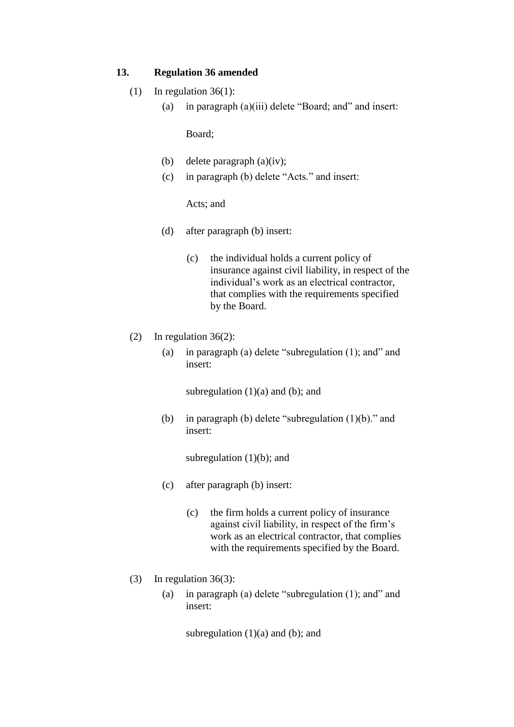#### **13. Regulation 36 amended**

- (1) In regulation  $36(1)$ :
	- (a) in paragraph (a)(iii) delete "Board; and" and insert:

Board;

- (b) delete paragraph (a)(iv);
- (c) in paragraph (b) delete "Acts." and insert:

#### Acts; and

- (d) after paragraph (b) insert:
	- (c) the individual holds a current policy of insurance against civil liability, in respect of the individual's work as an electrical contractor, that complies with the requirements specified by the Board.
- (2) In regulation 36(2):
	- (a) in paragraph (a) delete "subregulation (1); and" and insert:

subregulation  $(1)(a)$  and  $(b)$ ; and

(b) in paragraph (b) delete "subregulation (1)(b)." and insert:

subregulation  $(1)(b)$ ; and

- (c) after paragraph (b) insert:
	- (c) the firm holds a current policy of insurance against civil liability, in respect of the firm's work as an electrical contractor, that complies with the requirements specified by the Board.
- (3) In regulation 36(3):
	- (a) in paragraph (a) delete "subregulation (1); and" and insert:

subregulation  $(1)(a)$  and  $(b)$ ; and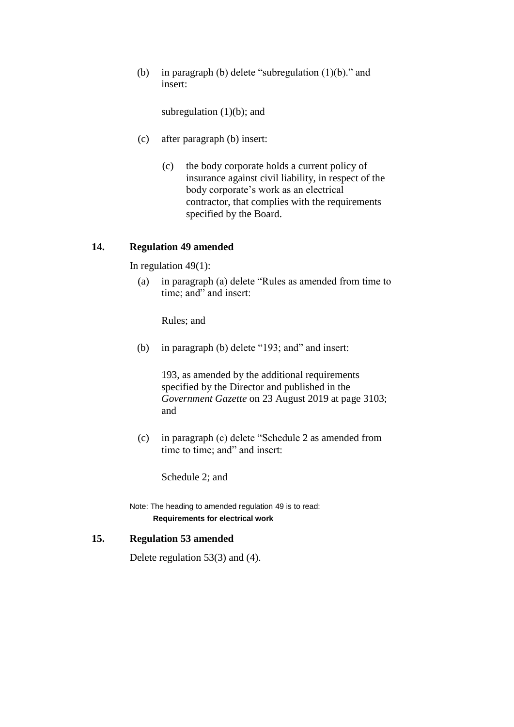(b) in paragraph (b) delete "subregulation (1)(b)." and insert:

subregulation  $(1)(b)$ ; and

- (c) after paragraph (b) insert:
	- (c) the body corporate holds a current policy of insurance against civil liability, in respect of the body corporate's work as an electrical contractor, that complies with the requirements specified by the Board.

#### **14. Regulation 49 amended**

In regulation 49(1):

(a) in paragraph (a) delete "Rules as amended from time to time; and" and insert:

Rules; and

(b) in paragraph (b) delete "193; and" and insert:

193, as amended by the additional requirements specified by the Director and published in the *Government Gazette* on 23 August 2019 at page 3103; and

(c) in paragraph (c) delete "Schedule 2 as amended from time to time; and" and insert:

Schedule 2; and

Note: The heading to amended regulation 49 is to read: **Requirements for electrical work**

## **15. Regulation 53 amended**

Delete regulation 53(3) and (4).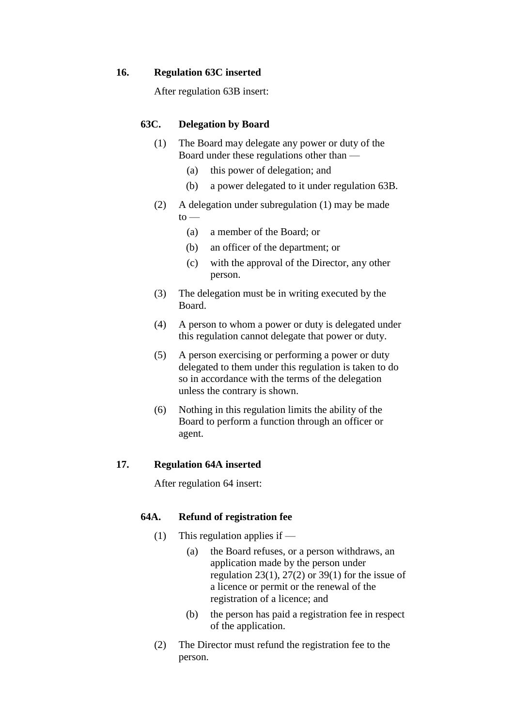#### **16. Regulation 63C inserted**

After regulation 63B insert:

### **63C. Delegation by Board**

- (1) The Board may delegate any power or duty of the Board under these regulations other than —
	- (a) this power of delegation; and
	- (b) a power delegated to it under regulation 63B.
- (2) A delegation under subregulation (1) may be made  $to -$ 
	- (a) a member of the Board; or
	- (b) an officer of the department; or
	- (c) with the approval of the Director, any other person.
- (3) The delegation must be in writing executed by the Board.
- (4) A person to whom a power or duty is delegated under this regulation cannot delegate that power or duty.
- (5) A person exercising or performing a power or duty delegated to them under this regulation is taken to do so in accordance with the terms of the delegation unless the contrary is shown.
- (6) Nothing in this regulation limits the ability of the Board to perform a function through an officer or agent.

#### **17. Regulation 64A inserted**

After regulation 64 insert:

## **64A. Refund of registration fee**

- (1) This regulation applies if
	- (a) the Board refuses, or a person withdraws, an application made by the person under regulation 23(1), 27(2) or 39(1) for the issue of a licence or permit or the renewal of the registration of a licence; and
	- (b) the person has paid a registration fee in respect of the application.
- (2) The Director must refund the registration fee to the person.